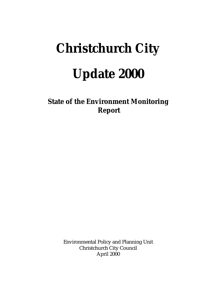# **Christchurch City Update 2000**

**State of the Environment Monitoring Report**

> Environmental Policy and Planning Unit Christchurch City Council April 2000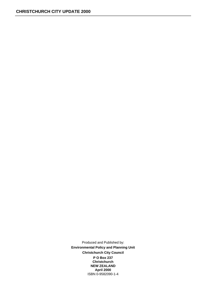Produced and Published by: **Environmental Policy and Planning Unit Christchurch City Council P O Box 237 Christchurch NEW ZEALAND April 2000**  ISBN 0-9582090-1-4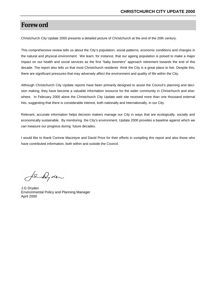## **Foreword**

Christchurch City Update 2000 presents a detailed picture of Christchurch at the end of the 20th century.

This comprehensive review tells us about the City's population, social patterns, economic conditions and changes in the natural and physical environment. We learn, for instance, that our ageing population is poised to make a major impact on our health and social services as the first "baby boomers" approach retirement towards the end of this decade. The report also tells us that most Christchurch residents think the City is a great place to live. Despite this, there are significant pressures that may adversely affect the environment and quality of life within the City.

Although Christchurch City Update reports have been primarily designed to assist the Council's planning and decision making, they have become a valuable information resource for the wider community in Christchurch and elsewhere. In February 2000 alone the Christchurch City Update web site received more than one thousand external hits, suggesting that there is considerable interest, both nationally and internationally, in our City.

Relevant, accurate information helps decision makers manage our City in ways that are ecologically, socially and economically sustainable. By monitoring the City's environment, Update 2000 provides a baseline against which we can measure our progress during future decades.

I would like to thank Corinne Macintyre and David Price for their efforts in compiling this report and also those who have contributed information, both within and outside the Council.

for Dyder

J.G Dryden Environmental Policy and Planning Manager April 2000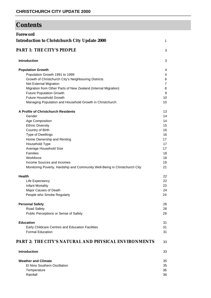## **Contents**

| <b>Foreword</b>                                                            |                |
|----------------------------------------------------------------------------|----------------|
| <b>Introduction to Christchurch City Update 2000</b>                       | 1              |
| <b>PART 1: THE CITY'S PEOPLE</b>                                           | 3              |
| <b>Introduction</b>                                                        | 3              |
| <b>Population Growth</b>                                                   | 4              |
| Population Growth 1991 to 1999                                             | 4              |
| Growth of Christchurch City's Neighbouring Districts                       | 6              |
| Net External Migration                                                     | $\overline{7}$ |
| Migration from Other Parts of New Zealand (Internal Migration)             | 8              |
| <b>Future Population Growth</b>                                            | 9              |
| <b>Future Household Growth</b>                                             | 10             |
| Managing Population and Household Growth in Christchurch                   | 10             |
| A Profile of Christchurch Residents                                        | 13             |
| Gender                                                                     | 14             |
| Age Composition                                                            | 14             |
| <b>Ethnic Diversity</b>                                                    | 15             |
| Country of Birth                                                           | 16             |
| Type of Dwellings                                                          | 16             |
| Home Ownership and Renting                                                 | 17             |
| Household Type                                                             | 17             |
| Average Household Size                                                     | 17             |
| Families                                                                   | 18             |
| Workforce                                                                  | 18             |
| Income Sources and Incomes                                                 | 19             |
| Monitoring Poverty, Hardship and Community Well-Being in Christchurch City | 21             |
| <b>Health</b>                                                              | 22             |
| Life Expectancy                                                            | 22             |
| <b>Infant Mortality</b>                                                    | 23             |
| Major Causes of Death                                                      | 24             |
| People who Smoke Regularly                                                 | 24             |
|                                                                            |                |
| <b>Personal Safety</b>                                                     | 26<br>26       |
| Road Safety<br>Public Perceptions or Sense of Safety                       | 29             |
| <b>Education</b>                                                           | 31             |
| Early Childcare Centres and Education Facilities                           | 31             |
| <b>Formal Education</b>                                                    | 31             |
| <b>PART 2: THE CITY'S NATURAL AND PHYSICAL ENVIRONMENTS</b>                | 33             |
| <b>Introduction</b>                                                        | 33             |
| <b>Weather and Climate</b>                                                 | 35             |
| El Nino Southern Oscillation                                               | 35             |
|                                                                            |                |
| Temperature<br>Rainfall                                                    | 36<br>36       |
|                                                                            |                |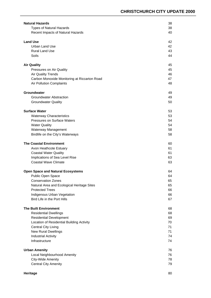| <b>Natural Hazards</b>                       | 38 |
|----------------------------------------------|----|
| <b>Types of Natural Hazards</b>              | 38 |
| Recent Impacts of Natural Hazards            | 40 |
|                                              |    |
| <b>Land Use</b>                              | 42 |
| Urban Land Use                               | 42 |
| <b>Rural Land Use</b>                        | 43 |
| Soils                                        | 44 |
|                                              |    |
| <b>Air Quality</b>                           | 45 |
| Pressures on Air Quality                     | 45 |
| <b>Air Quality Trends</b>                    | 46 |
| Carbon Monoxide Monitoring at Riccarton Road | 47 |
| Air Pollution Complaints                     | 48 |
| Groundwater                                  | 49 |
| <b>Groundwater Abstraction</b>               | 49 |
| <b>Groundwater Quality</b>                   | 50 |
|                                              |    |
| <b>Surface Water</b>                         | 53 |
| <b>Waterway Characteristics</b>              | 53 |
| <b>Pressures on Surface Waters</b>           | 54 |
| <b>Water Quality</b>                         | 54 |
| Waterway Management                          | 58 |
| Birdlife on the City's Waterways             | 58 |
|                                              |    |
| <b>The Coastal Environment</b>               | 60 |
| Avon Heathcote Estuary                       | 61 |
| <b>Coastal Water Quality</b>                 | 61 |
| Implications of Sea Level Rise               | 63 |
| <b>Coastal Wave Climate</b>                  | 63 |
| <b>Open Space and Natural Ecosystems</b>     | 64 |
| Public Open Space                            | 64 |
| <b>Conservation Zones</b>                    | 65 |
| Natural Area and Ecological Heritage Sites   | 65 |
| <b>Protected Trees</b>                       | 66 |
| Indigenous Urban Vegetation                  | 66 |
| Bird Life in the Port Hills                  | 67 |
|                                              |    |
| <b>The Built Environment</b>                 | 68 |
| <b>Residential Dwellings</b>                 | 68 |
| <b>Residential Development</b>               | 69 |
| Location of Residential Building Activity    | 70 |
| <b>Central City Living</b>                   | 71 |
| <b>New Rural Dwellings</b>                   | 71 |
| <b>Industrial Activity</b>                   | 74 |
| Infrastructure                               | 74 |
|                                              |    |
| <b>Urban Amenity</b>                         | 76 |
| Local Neighbourhood Amenity                  | 76 |
| City-Wide Amenity                            | 78 |
| <b>Central City Amenity</b>                  | 79 |
|                                              |    |
| Heritage                                     | 80 |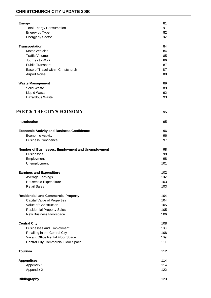#### **CHRISTCHURCH CITY UPDATE 2000**

| <b>Energy</b>                                     | 81  |
|---------------------------------------------------|-----|
| <b>Total Energy Consumption</b>                   | 81  |
| Energy by Type                                    | 82  |
| Energy by Sector                                  | 82  |
|                                                   |     |
| <b>Transportation</b>                             | 84  |
| <b>Motor Vehicles</b>                             | 84  |
| <b>Traffic Volumes</b>                            | 85  |
| Journey to Work                                   | 86  |
| <b>Public Transport</b>                           | 87  |
| Ease of Travel within Christchurch                | 87  |
| <b>Airport Noise</b>                              | 88  |
|                                                   |     |
| <b>Waste Management</b>                           | 89  |
| Solid Waste                                       | 89  |
| <b>Liquid Waste</b>                               | 92  |
| <b>Hazardous Waste</b>                            | 93  |
|                                                   |     |
| <b>PART 3: THE CITY'S ECONOMY</b>                 | 95  |
| <b>Introduction</b>                               | 95  |
|                                                   |     |
| <b>Economic Activity and Business Confidence</b>  | 96  |
| <b>Economic Activity</b>                          | 96  |
| <b>Business Confidence</b>                        | 97  |
| Number of Businesses, Employment and Unemployment | 98  |
| <b>Businesses</b>                                 | 98  |
| Employment                                        | 98  |
| Unemployment                                      | 101 |
| <b>Earnings and Expenditure</b>                   | 102 |
| <b>Average Earnings</b>                           | 102 |
| <b>Household Expenditure</b>                      | 103 |
| <b>Retail Sales</b>                               | 103 |
|                                                   |     |
| <b>Residential and Commercial Property</b>        | 104 |
| <b>Capital Value of Properties</b>                | 104 |
| Value of Construction                             | 105 |
| <b>Residential Property Sales</b>                 | 105 |
| New Business Floorspace                           | 106 |
| <b>Central City</b>                               | 108 |
| <b>Businesses and Employment</b>                  | 108 |
| Retailing in the Central City                     | 108 |
| Vacant Office Rental Floor Space                  | 109 |
| <b>Central City Commercial Floor Space</b>        | 111 |
| <b>Tourism</b>                                    | 112 |
| <b>Appendices</b>                                 | 114 |
| Appendix 1                                        | 114 |
|                                                   |     |
| Appendix 2                                        | 122 |
| <b>Bibliography</b>                               | 123 |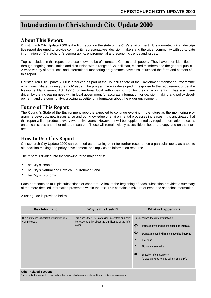## **Introduction to Christchurch City Update 2000**

### **About This Report**

Christchurch City Update 2000 is the fifth report on the state of the City's environment. It is a non-technical, descriptive report designed to provide community representatives, decision makers and the wider community with up-to-date information on Christchurch's demographic, environmental and economic trends and issues.

Topics included in this report are those known to be of interest to Christchurch people. They have been identified through ongoing consultation and discussion with a range of Council staff, elected members and the general public. A wide variety of other local and international monitoring programmes have also influenced the form and content of this report.

Christchurch City Update 2000 is produced as part of the Council's State of the Environment Monitoring Programme which was initiated during the mid-1990s. The programme was developed in response to the requirement under the Resource Management Act (1991) for territorial local authorities to monitor their environments. It has also been driven by the increasing need within local government for accurate information for decision making and policy development, and the community's growing appetite for information about the wider environment.

#### **Future of This Report**

The Council's State of the Environment report is expected to continue evolving in the future as the monitoring programme develops, new issues arise and our knowledge of environmental processes increases. It is anticipated that this report will be produced every two to five years. However, it will be supplemented by regular information releases on topical issues and other related research. These will remain widely accessible in both hard copy and on the internet.

#### **How to Use This Report**

Christchurch City Update 2000 can be used as a starting point for further research on a particular topic, as a tool to aid decision making and policy development, or simply as an information resource.

The report is divided into the following three major parts:

- The City's People:
- The City's Natural and Physical Environment; and
- The City's Economy.

Each part contains multiple subsections or chapters. A box at the beginning of each subsection provides a summary of the more detailed information presented within the text. This contains a mixture of trend and snapshot information.

A user guide is provided below.

| <b>Key Information</b>                                                                                                                                                               | Why is this Useful? |                                                 | <b>What is Happening?</b>                                                   |
|--------------------------------------------------------------------------------------------------------------------------------------------------------------------------------------|---------------------|-------------------------------------------------|-----------------------------------------------------------------------------|
| This summarises important information from<br>This places the 'Key Information' in context and helps<br>the reader to think about the significance of the infor-<br>within the text. |                     |                                                 | This describes the current situation ie.                                    |
| mation.                                                                                                                                                                              | T                   | Increasing trend within the specified interval. |                                                                             |
|                                                                                                                                                                                      |                     | ↓                                               | Decreasing trend within the specified interval.                             |
|                                                                                                                                                                                      |                     | $\blacksquare$                                  | Flat trend.                                                                 |
|                                                                                                                                                                                      |                     | $\tilde{}$                                      | No trend discernable                                                        |
|                                                                                                                                                                                      |                     |                                                 | Snapshot information only<br>(ie data provided for one point in time only). |

#### **Other Related Sections:**

This directs the reader to other parts of the report which may provide additional contextual information.